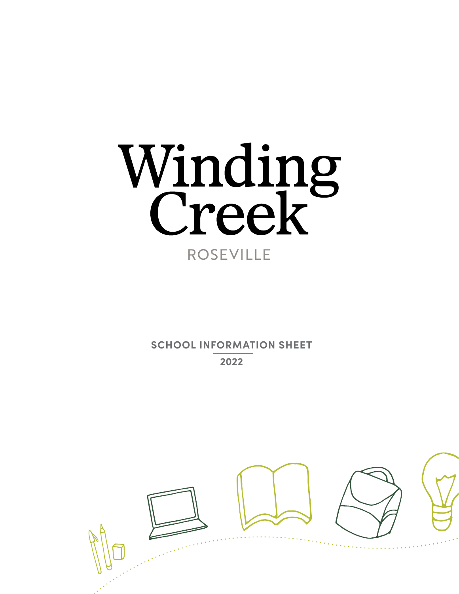# Winding **ROSEVILLE**

**SCHOOL INFORMATION SHEET 2022**

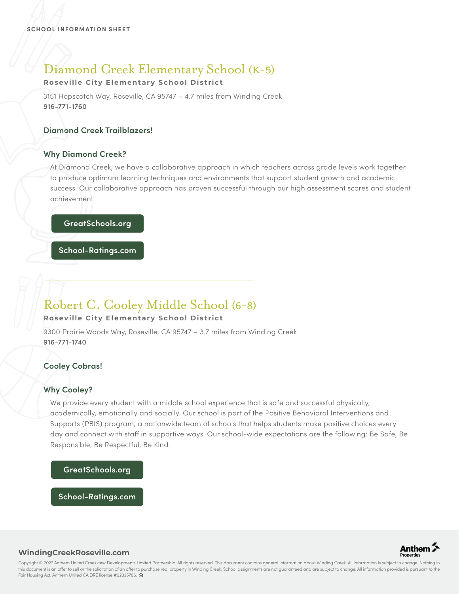# Diamond Creek Elementary School (K-5)

## **Roseville City Elementary School District**

3151 Hopscotch Way, Roseville, CA 95747 – 4.7 miles from Winding Creek 916-771-1760

## **Diamond Creek Trailblazers!**

## **Why Diamond Creek?**

At Diamond Creek, we have a collaborative approach in which teachers across grade levels work together to produce optimum learning techniques and environments that support student growth and academic success. Our collaborative approach has proven successful through our high assessment scores and student achievement.

## **GreatSchools.org**

**School-Ratings.com**

# Robert C. Cooley Middle School (6-8)

## **Roseville City Elementary School District**

9300 Prairie Woods Way, Roseville, CA 95747 – 3.7 miles from Winding Creek 916-771-1740

## **Cooley Cobras!**

## **Why Cooley?**

We provide every student with a middle school experience that is safe and successful physically, academically, emotionally and socially. Our school is part of the Positive Behavioral Interventions and Supports (PBIS) program, a nationwide team of schools that helps students make positive choices every day and connect with staff in supportive ways. Our school-wide expectations are the following: Be Safe, Be Responsible, Be Respectful, Be Kind.

## **GreatSchools.org**

**School-Ratings.com**



#### **WindingCreekRoseville.com**

Copyright © 2022 Anthem United Creekview Developments Limited Partnership. All rights reserved. This document contains general information about Winding Creek. All information is subject to change. Nothing in this document is an offer to sell or the solicitation of an offer to purchase real property in Winding Creek. School assignments are not guaranteed and are subject to change. All information provided is pursuant to the Fair Housing Act. Anthem United CA DRE license #02025766.